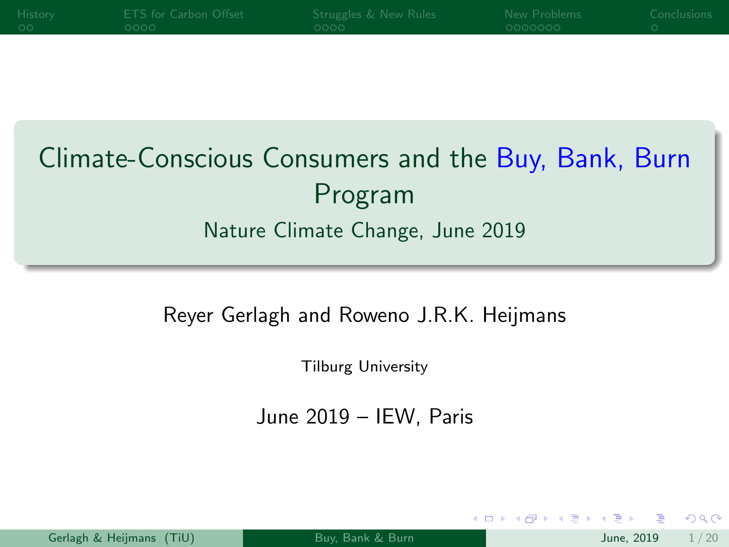<span id="page-0-0"></span>

| <b>History</b> | ETS for Carbon Offset | Struggles & New Rules | New Problems | Conclusions |
|----------------|-----------------------|-----------------------|--------------|-------------|
| െ ററ'          | ೧೧೧೧                  | $\sim$ 0000 $\cdot$   | - 0000000    |             |
|                |                       |                       |              |             |

# Climate-Conscious Consumers and the Buy, Bank, Burn Program Nature Climate Change, June 2019

#### Reyer Gerlagh and Roweno J.R.K. Heijmans

Tilburg University

June 2019 – IEW, Paris

|  | Gerlagh & Heijmans (TiU) |  |
|--|--------------------------|--|
|  |                          |  |

 $200$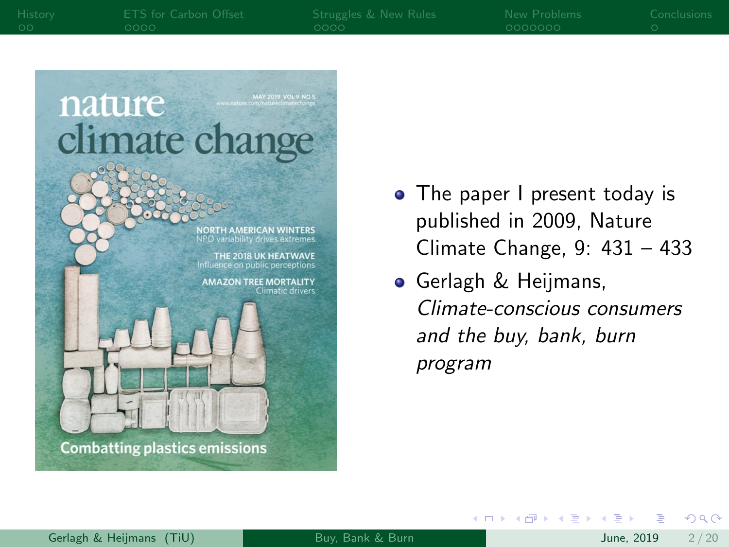nature climate change • The paper I present today is published in 2009, Nature **NORTH AMERICAN WINTERS** NPO variability drives extremes Climate Change, 9: 431 – 433 THE 2018 UK HEATWAVE Influence on public perceptions

> **AMAZON TREE MORTALITY Climatic drivers**

**•** Gerlagh & Heijmans, Climate-conscious consumers and the buy, bank, burn program

イロト イ母 ト イヨ ト イヨ)

**Combatting plastics emissions**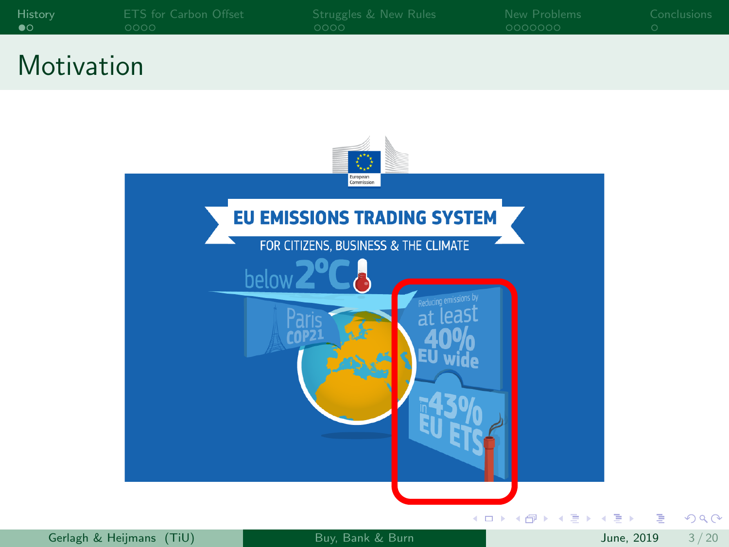<span id="page-2-0"></span>

| History | ETS for Carbon Offset | Struggles & New Rules | <b>Example 19 New Problems</b> | Conclusions |
|---------|-----------------------|-----------------------|--------------------------------|-------------|
| - മറ    | $-0000 -$             | - nnnn -              | $-0000000$                     |             |
|         |                       |                       |                                |             |

### **Motivation**



 $299$ 

目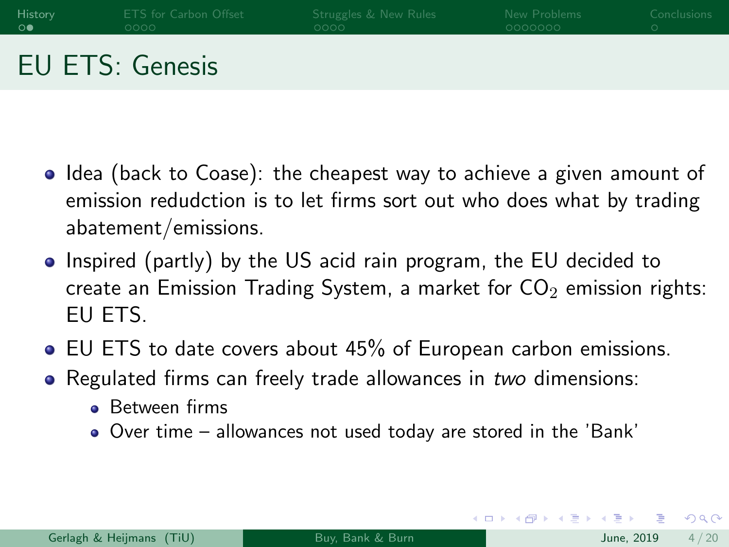| History | ETS for Carbon Offset  | Struggles & New Rules | New Problems | Conclusions |
|---------|------------------------|-----------------------|--------------|-------------|
| ு       | oooo -                 | looon i               | -0000000     |             |
|         | <b>EU ETS: Genesis</b> |                       |              |             |

- Idea (back to Coase): the cheapest way to achieve a given amount of emission redudction is to let firms sort out who does what by trading abatement/emissions.
- Inspired (partly) by the US acid rain program, the EU decided to create an Emission Trading System, a market for  $CO<sub>2</sub>$  emission rights: EU ETS.
- EU ETS to date covers about 45% of European carbon emissions.
- Regulated firms can freely trade allowances in two dimensions:
	- **Between firms**
	- Over time allowances not used today are stored in the 'Bank'

 $\Omega$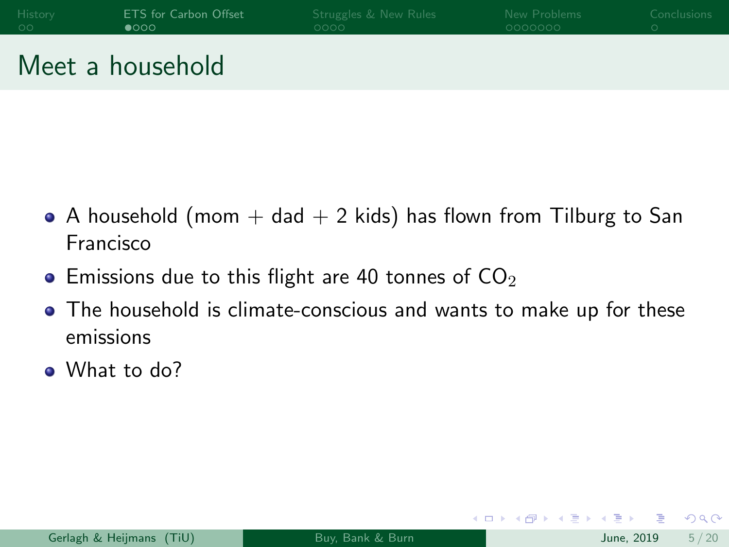<span id="page-4-0"></span>

| History | <b>ETS</b> for Carbon Offset | Struggles & New Rules | New Problems | Conclusions |
|---------|------------------------------|-----------------------|--------------|-------------|
| - ററ    | $\bullet$ 000                | LOOOO I               | ೧೧೧೧೧೧೧      |             |
|         |                              |                       |              |             |

#### Meet a household

- A household (mom  $+$  dad  $+$  2 kids) has flown from Tilburg to San Francisco
- $\bullet$  Emissions due to this flight are 40 tonnes of  $CO<sub>2</sub>$
- The household is climate-conscious and wants to make up for these emissions
- What to do?

 $\Omega$ 

化重 网络重

4 0 F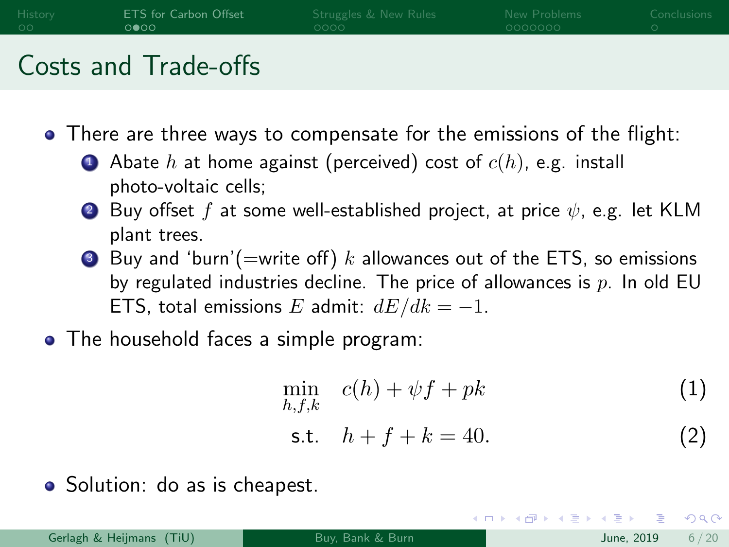| History | <b>ETS</b> for Carbon Offset | Struggles & New Rules | New Problems | Conclusions |
|---------|------------------------------|-----------------------|--------------|-------------|
| - ററ    | $0000 -$                     | $0000 -$              | - 0000000    |             |
|         |                              |                       |              |             |

#### Costs and Trade-offs

There are three ways to compensate for the emissions of the flight:

- **1** Abate h at home against (perceived) cost of  $c(h)$ , e.g. install photo-voltaic cells;
- 2 Buy offset f at some well-established project, at price  $\psi$ , e.g. let KLM plant trees.
- **3** Buy and 'burn'(=write off) k allowances out of the ETS, so emissions by regulated industries decline. The price of allowances is  $p$ . In old EU ETS, total emissions E admit:  $dE/dk = -1$ .
- The household faces a simple program:

$$
\min_{h,f,k} \quad c(h) + \psi f + pk \tag{1}
$$

s.t. 
$$
h + f + k = 40.
$$
 (2)

◂**◻▸ ◂◚▸** 

• Solution: do as is cheapest.

 $200$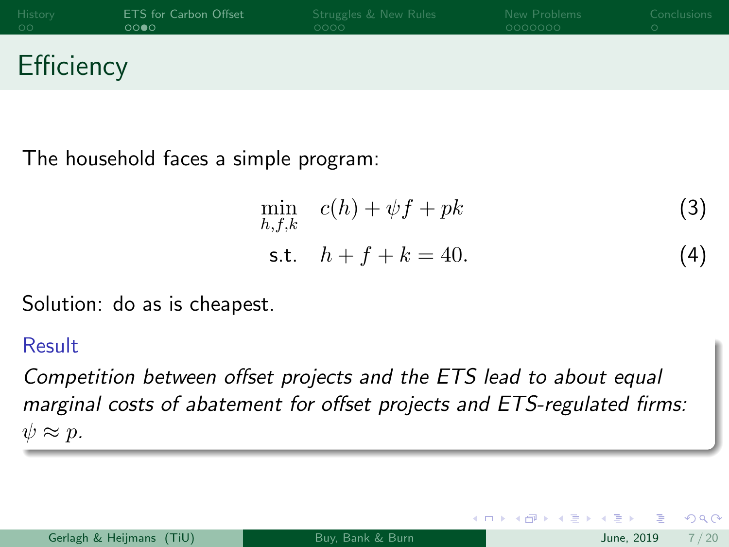| History    | ETS for Carbon Offset | Struggles & New Rules | New Problems | Conclusions |
|------------|-----------------------|-----------------------|--------------|-------------|
| - ററ       | ററ⊕റ                  | OOOO.                 | - 0000000    |             |
| Efficiency |                       |                       |              |             |

The household faces a simple program:

$$
\min_{h,f,k} c(h) + \psi f + pk
$$
\n
$$
\text{s.t.} \quad h + f + k = 40. \tag{3}
$$

4 D F

Solution: do as is cheapest.

#### Result

Competition between offset projects and the ETS lead to about equal marginal costs of abatement for offset projects and ETS-regulated firms:  $\psi \approx p$ .

|  | Gerlagh & Heijmans (TiU) |  |
|--|--------------------------|--|
|  |                          |  |

 $200$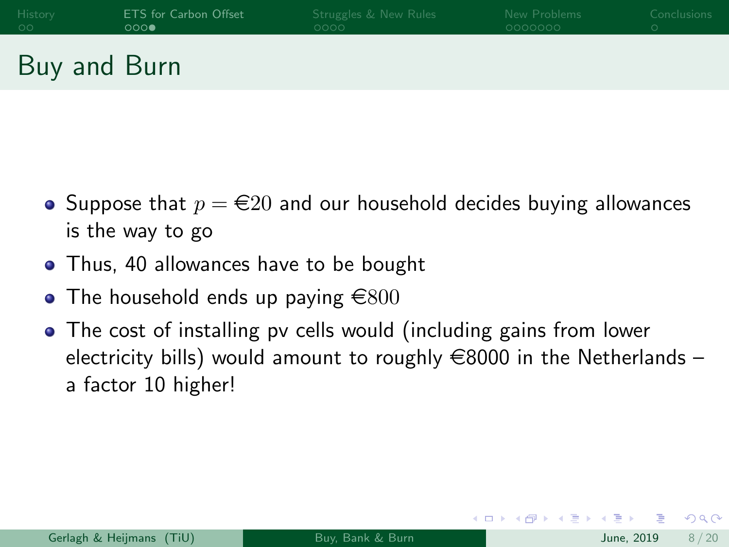| History | ETS for Carbon Offset | Struggles & New Rules | New Problems | Conclusions |
|---------|-----------------------|-----------------------|--------------|-------------|
| - ററ    | 000                   | oooo -                | ೧೧೧೧೧೧೧      |             |
|         |                       |                       |              |             |

Buy and Burn

- Suppose that  $p = \epsilon 20$  and our household decides buying allowances is the way to go
- Thus, 40 allowances have to be bought
- The household ends up paying  $\epsilon$ 800
- The cost of installing pv cells would (including gains from lower electricity bills) would amount to roughly  $\in$ 8000 in the Netherlands – a factor 10 higher!

4 D F

3 ( 금 ) - 3 금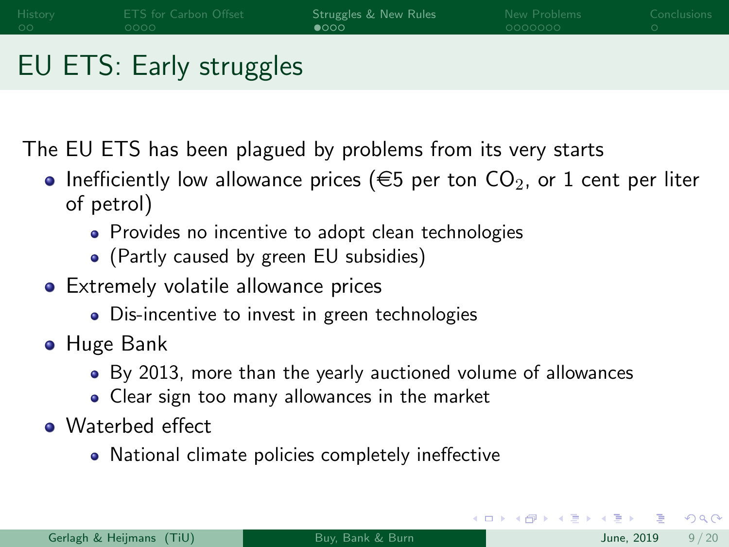# <span id="page-8-0"></span>EU ETS: Early struggles

The EU ETS has been plagued by problems from its very starts

- Inefficiently low allowance prices ( $\epsilon$ 5 per ton CO<sub>2</sub>, or 1 cent per liter of petrol)
	- Provides no incentive to adopt clean technologies
	- (Partly caused by green EU subsidies)
- **•** Extremely volatile allowance prices
	- Dis-incentive to invest in green technologies
- Huge Bank
	- By 2013, more than the yearly auctioned volume of allowances
	- Clear sign too many allowances in the market
- Waterbed effect
	- National climate policies completely ineffective

 $200$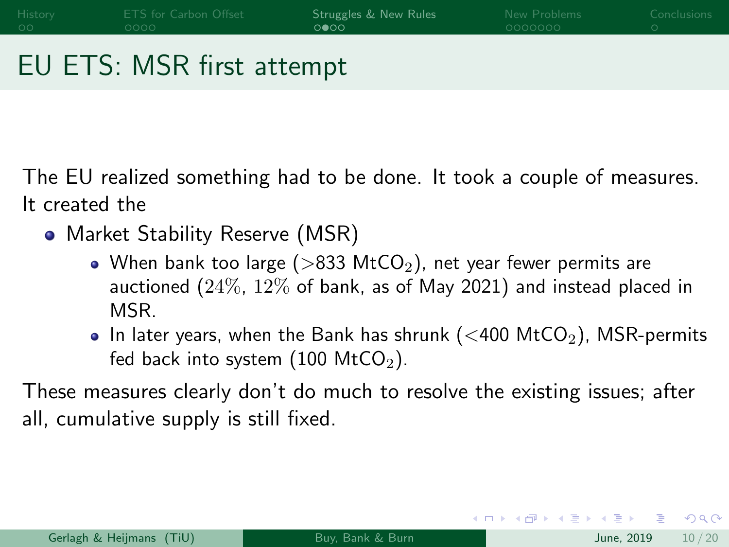[History](#page-2-0) [ETS for Carbon Offset](#page-4-0) Stru**ggles & New Rules [New Problems](#page-12-0)** [Conclusions](#page-19-0)<br>Option Represent Conclusions Company Concerns Conclusions Conclusions 0000 aaaaaaa

## EU ETS: MSR first attempt

The EU realized something had to be done. It took a couple of measures. It created the

- Market Stability Reserve (MSR)
	- When bank too large ( $>$ 833 MtCO<sub>2</sub>), net year fewer permits are auctioned (24%, 12% of bank, as of May 2021) and instead placed in MSR.
	- In later years, when the Bank has shrunk ( $<$ 400 MtCO<sub>2</sub>), MSR-permits fed back into system  $(100 \text{ MtCO}_2)$ .

These measures clearly don't do much to resolve the existing issues; after all, cumulative supply is still fixed.

 $QQ$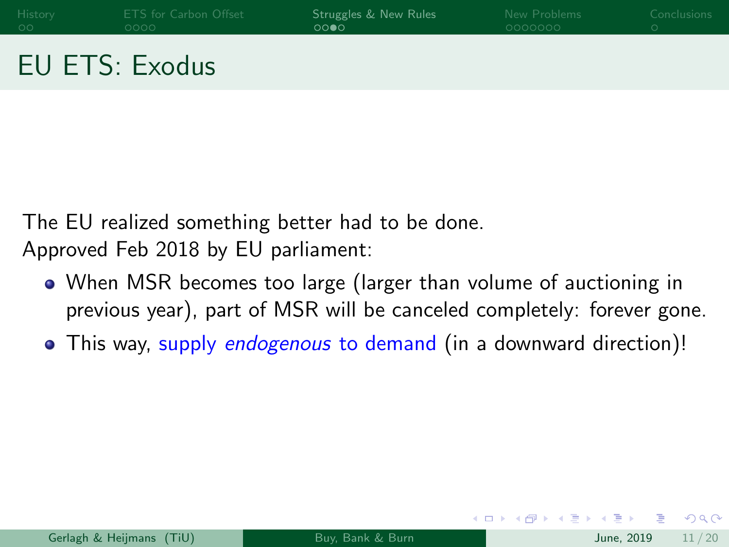| History | ETS for Carbon Offset | Struggles & New Rules | New Problems | Conclusions |
|---------|-----------------------|-----------------------|--------------|-------------|
| - ററ    | LOOOO I               | ററൈ                   | 0000000      |             |
|         |                       |                       |              |             |

### EU ETS: Exodus

The EU realized something better had to be done. Approved Feb 2018 by EU parliament:

- When MSR becomes too large (larger than volume of auctioning in previous year), part of MSR will be canceled completely: forever gone.
- This way, supply endogenous to demand (in a downward direction)!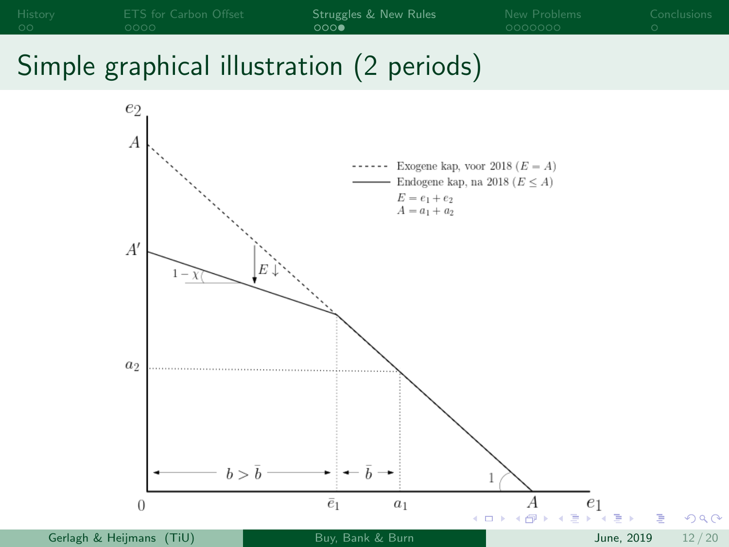

# Simple graphical illustration (2 periods)

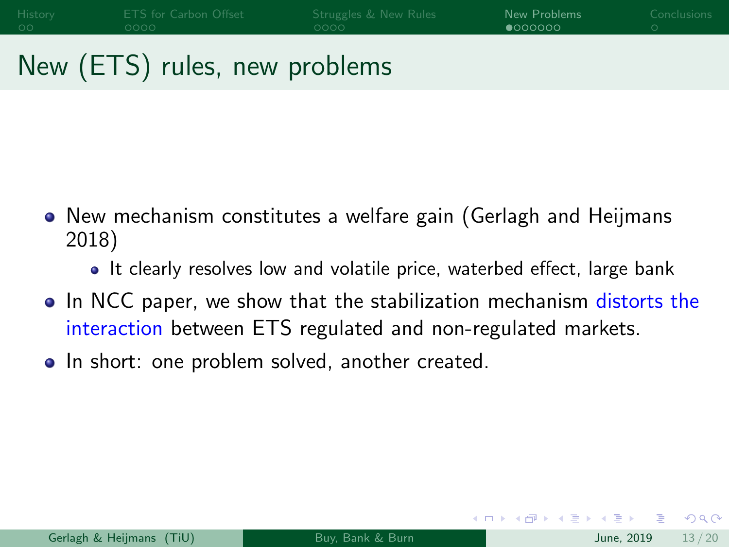<span id="page-12-0"></span>[History](#page-2-0) [ETS for Carbon Offset](#page-4-0) [Struggles & New Rules](#page-8-0) [New Problems](#page-12-0) [Conclusions](#page-19-0)

# New (ETS) rules, new problems

- New mechanism constitutes a welfare gain (Gerlagh and Heijmans 2018)
	- It clearly resolves low and volatile price, waterbed effect, large bank
- In NCC paper, we show that the stabilization mechanism distorts the interaction between ETS regulated and non-regulated markets.
- In short: one problem solved, another created.

( □ ) ( <sub>□</sub>

3 E X 3 E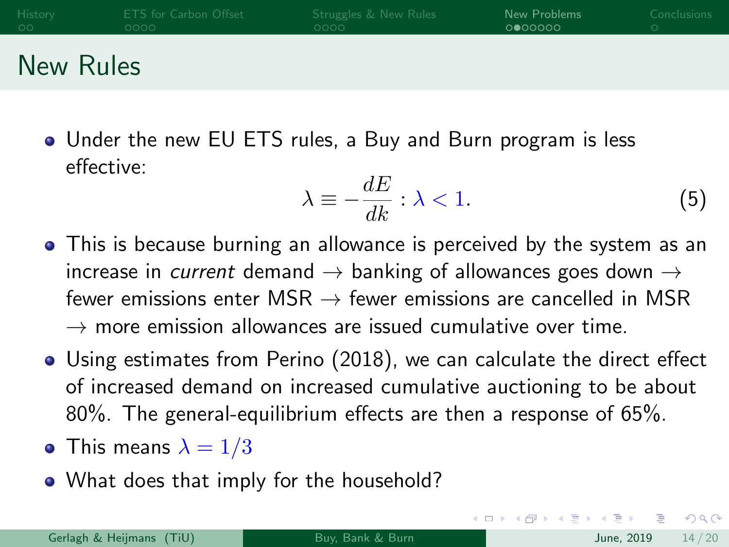| History | ETS for Carbon Offset | Struggles & New Rules | New Problems | Conclusions |
|---------|-----------------------|-----------------------|--------------|-------------|
| - ററ    | ೧೧೧೧                  | ೧೧೧೧                  | 0 000000     |             |
|         |                       |                       |              |             |

### New Rules

Under the new EU ETS rules, a Buy and Burn program is less effective:

$$
\lambda \equiv -\frac{dE}{dk} : \lambda < 1. \tag{5}
$$

- This is because burning an allowance is perceived by the system as an increase in *current* demand  $\rightarrow$  banking of allowances goes down  $\rightarrow$ fewer emissions enter MSR  $\rightarrow$  fewer emissions are cancelled in MSR  $\rightarrow$  more emission allowances are issued cumulative over time.
- Using estimates from Perino (2018), we can calculate the direct effect of increased demand on increased cumulative auctioning to be about 80%. The general-equilibrium effects are then a response of 65%.
- This means  $\lambda = 1/3$
- What does that imply for the household?

 $\Omega$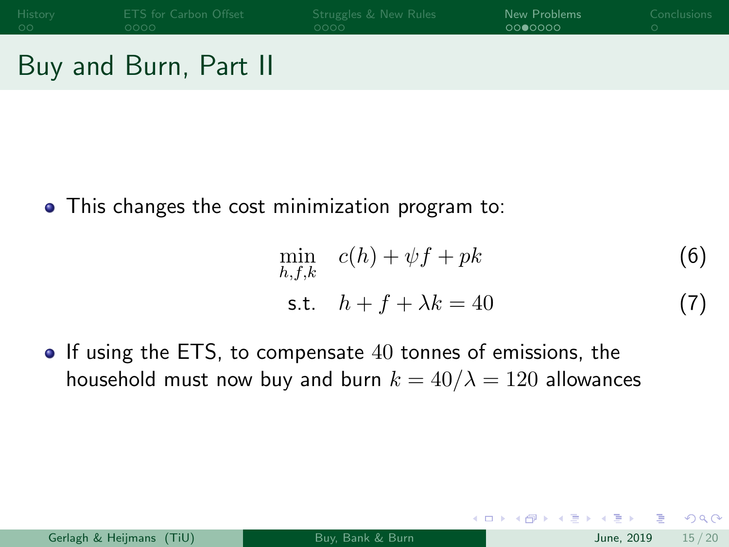### Buy and Burn, Part II

This changes the cost minimization program to:

$$
\min_{h,f,k} c(h) + \psi f + pk
$$
\n
$$
\text{s.t.} \quad h + f + \lambda k = 40
$$
\n(7)

 $\bullet$  If using the ETS, to compensate 40 tonnes of emissions, the household must now buy and burn  $k = 40/\lambda = 120$  allowances

 $\Omega$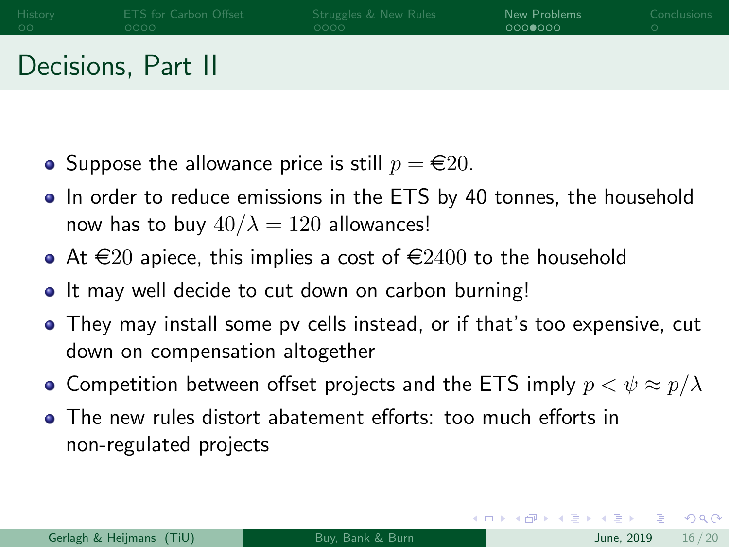| History | ETS for Carbon Offset | Struggles & New Rules | New Problems | <b>Conclusions</b> |
|---------|-----------------------|-----------------------|--------------|--------------------|
| - ററ    | OOOO -                | OOOO.                 | 0000000      |                    |
|         | Decisions, Part II    |                       |              |                    |

- Suppose the allowance price is still  $p = \epsilon 20$ .
- In order to reduce emissions in the ETS by 40 tonnes, the household now has to buy  $40/\lambda = 120$  allowances!
- At  $\in$  20 apiece, this implies a cost of  $\in$  2400 to the household
- It may well decide to cut down on carbon burning!
- They may install some pv cells instead, or if that's too expensive, cut down on compensation altogether
- Competition between offset projects and the ETS imply  $p < \psi \approx p/\lambda$
- The new rules distort abatement efforts: too much efforts in non-regulated projects

 $=$   $\Omega$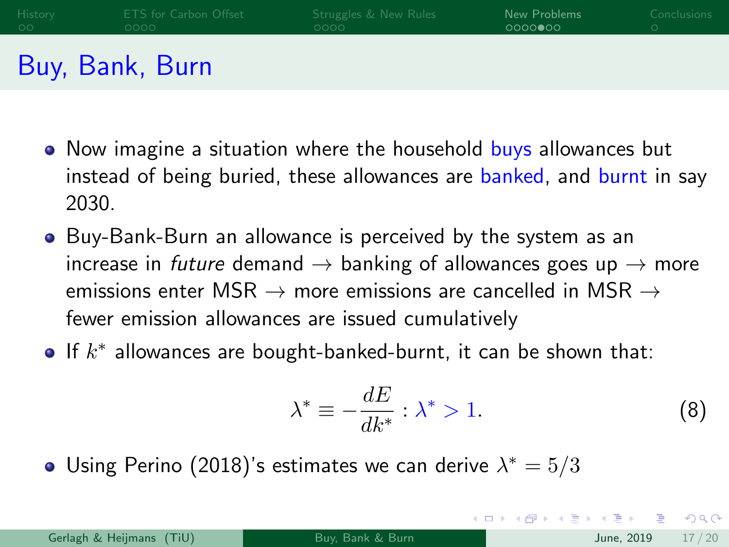| History | ETS for Carbon Offset | Struggles & New Rules | New Problems | <b>Conclusions</b> |
|---------|-----------------------|-----------------------|--------------|--------------------|
| - ററ    | OOOO.                 | OOOO.                 | 0000000      |                    |
|         | Buy, Bank, Burn       |                       |              |                    |

- Now imagine a situation where the household buys allowances but instead of being buried, these allowances are banked, and burnt in say 2030.
- Buy-Bank-Burn an allowance is perceived by the system as an increase in future demand  $\rightarrow$  banking of allowances goes up  $\rightarrow$  more emissions enter MSR  $\rightarrow$  more emissions are cancelled in MSR  $\rightarrow$ fewer emission allowances are issued cumulatively
- If  $k^*$  allowances are bought-banked-burnt, it can be shown that:

$$
\lambda^* \equiv -\frac{dE}{dk^*} : \lambda^* > 1. \tag{8}
$$

 $\left\{ \begin{array}{ccc} 1 & 0 & 0 \\ 0 & 1 & 0 \end{array} \right.$ 

Using Perino (2018)'s estimates we can derive  $\lambda^* = 5/3$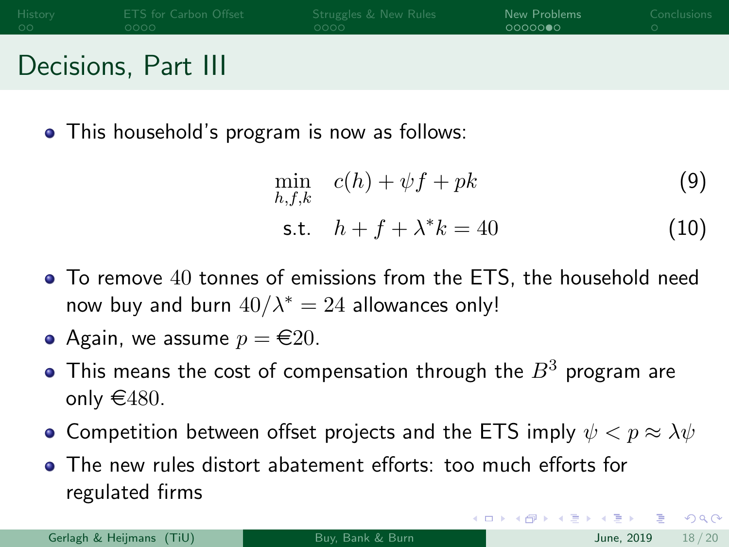| History | ETS for Carbon Offset | Struggles & New Rules | New Problems | Conclusions |
|---------|-----------------------|-----------------------|--------------|-------------|
| - ററ    | OOOO -                | 0000                  | 00000000     |             |
| . .     |                       |                       |              |             |

#### Decisions, Part III

• This household's program is now as follows:

$$
\min_{h,f,k} c(h) + \psi f + pk \tag{9}
$$

s.t. 
$$
h + f + \lambda^* k = 40
$$
 (10)

To remove 40 tonnes of emissions from the ETS, the household need now buy and burn  $40/\lambda^* = 24$  allowances only!

• Again, we assume 
$$
p = \text{\textsterling}20
$$
.

- $\bullet$  This means the cost of compensation through the  $B^3$  program are only  $\in$  480.
- Competition between offset projects and the ETS imply  $\psi < p \approx \lambda \psi$
- The new rules distort abatement efforts: too much efforts for regulated firms

Gerlagh & Heijmans (TiU) [Buy, Bank & Burn](#page-0-0) June, 2019 18 / 2019 18 / 2019 18 / 2019 18 / 2019 18 / 2019 18 / 20

 $=$   $\Omega$ 

K ロ ⊁ K 御 ⊁ K 君 ⊁ K 君 ⊁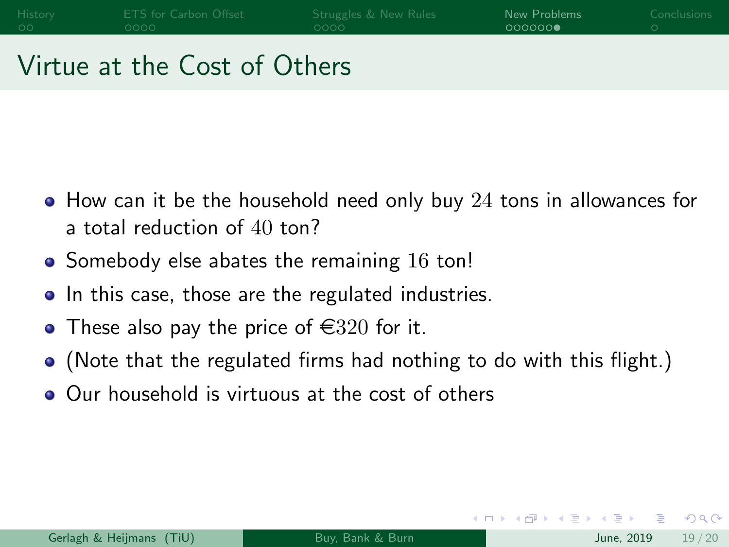#### Virtue at the Cost of Others

- $\bullet$  How can it be the household need only buy 24 tons in allowances for a total reduction of 40 ton?
- $\bullet$  Somebody else abates the remaining 16 ton!
- In this case, those are the regulated industries.
- These also pay the price of  $\in$  320 for it.
- (Note that the regulated firms had nothing to do with this flight.)
- Our household is virtuous at the cost of others

4 0 F

4 E X 4 E X